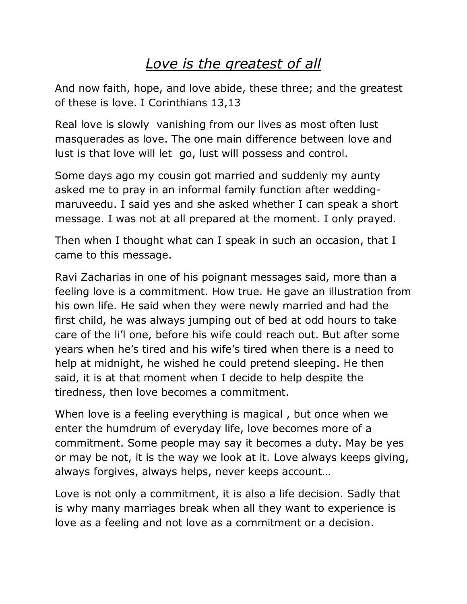## *Love is the greatest of all*

And now faith, hope, and love abide, these three; and the greatest of these is love. I Corinthians 13,13

Real love is slowly vanishing from our lives as most often lust masquerades as love. The one main difference between love and lust is that love will let go, lust will possess and control.

Some days ago my cousin got married and suddenly my aunty asked me to pray in an informal family function after weddingmaruveedu. I said yes and she asked whether I can speak a short message. I was not at all prepared at the moment. I only prayed.

Then when I thought what can I speak in such an occasion, that I came to this message.

Ravi Zacharias in one of his poignant messages said, more than a feeling love is a commitment. How true. He gave an illustration from his own life. He said when they were newly married and had the first child, he was always jumping out of bed at odd hours to take care of the li'l one, before his wife could reach out. But after some years when he's tired and his wife's tired when there is a need to help at midnight, he wished he could pretend sleeping. He then said, it is at that moment when I decide to help despite the tiredness, then love becomes a commitment.

When love is a feeling everything is magical , but once when we enter the humdrum of everyday life, love becomes more of a commitment. Some people may say it becomes a duty. May be yes or may be not, it is the way we look at it. Love always keeps giving, always forgives, always helps, never keeps account…

Love is not only a commitment, it is also a life decision. Sadly that is why many marriages break when all they want to experience is love as a feeling and not love as a commitment or a decision.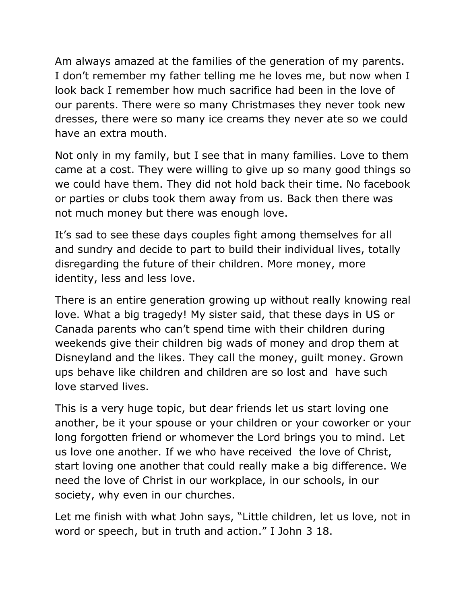Am always amazed at the families of the generation of my parents. I don't remember my father telling me he loves me, but now when I look back I remember how much sacrifice had been in the love of our parents. There were so many Christmases they never took new dresses, there were so many ice creams they never ate so we could have an extra mouth.

Not only in my family, but I see that in many families. Love to them came at a cost. They were willing to give up so many good things so we could have them. They did not hold back their time. No facebook or parties or clubs took them away from us. Back then there was not much money but there was enough love.

It's sad to see these days couples fight among themselves for all and sundry and decide to part to build their individual lives, totally disregarding the future of their children. More money, more identity, less and less love.

There is an entire generation growing up without really knowing real love. What a big tragedy! My sister said, that these days in US or Canada parents who can't spend time with their children during weekends give their children big wads of money and drop them at Disneyland and the likes. They call the money, guilt money. Grown ups behave like children and children are so lost and have such love starved lives.

This is a very huge topic, but dear friends let us start loving one another, be it your spouse or your children or your coworker or your long forgotten friend or whomever the Lord brings you to mind. Let us love one another. If we who have received the love of Christ, start loving one another that could really make a big difference. We need the love of Christ in our workplace, in our schools, in our society, why even in our churches.

Let me finish with what John says, "Little children, let us love, not in word or speech, but in truth and action." I John 3 18.